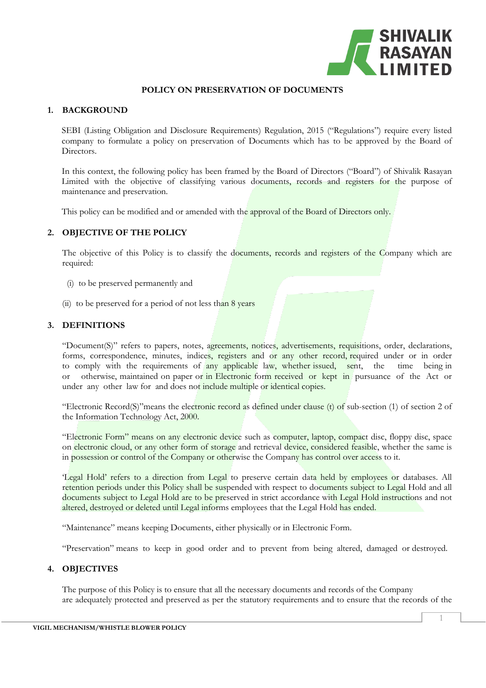

## **POLICY ON PRESERVATION OF DOCUMENTS**

## **1. BACKGROUND**

SEBI (Listing Obligation and Disclosure Requirements) Regulation, 2015 ("Regulations") require every listed company to formulate a policy on preservation of Documents which has to be approved by the Board of Directors.

In this context, the following policy has been framed by the Board of Directors ("Board") of Shivalik Rasayan Limited with the objective of classifying various documents, records and registers for the purpose of maintenance and preservation.

This policy can be modified and or amended with the approval of the Board of Directors only.

# **2. OBJECTIVE OF THE POLICY**

The objective of this Policy is to classify the documents, records and registers of the Company which are required:

- (i) to be preserved permanently and
- (ii) to be preserved for a period of not less than  $8$  years

## **3. DEFINITIONS**

"Document(S)" refers to papers, notes, agreements, notices, advertisements, requisitions, order, declarations, forms, correspondence, minutes, indices, registers and or any other record, required under or in order to comply with the requirements of any applicable law, whether issued, sent, the time being in or otherwise, maintained on paper or in Electronic form received or kept in pursuance of the Act or under any other law for and does not include multiple or identical copies.

"Electronic Record(S)"means the electronic record as defined under clause (t) of sub-section (1) of section 2 of the Information Technology Act, 2000.

"Electronic Form" means on any electronic device such as computer, laptop, compact disc, floppy disc, space on electronic cloud, or any other form of storage and retrieval device, considered feasible, whether the same is in possession or control of the Company or otherwise the Company has control over access to it.

'Legal Hold' refers to a direction from Legal to preserve certain data held by employees or databases. All retention periods under this Policy shall be suspended with respect to documents subject to Legal Hold and all documents subject to Legal Hold are to be preserved in strict accordance with Legal Hold instructions and not altered, destroyed or deleted until Legal informs employees that the Legal Hold has ended.

"Maintenance" means keeping Documents, either physically or in Electronic Form.

"Preservation" means to keep in good order and to prevent from being altered, damaged or destroyed.

## **4. OBJECTIVES**

The purpose of this Policy is to ensure that all the necessary documents and records of the Company are adequately protected and preserved as per the statutory requirements and to ensure that the records of the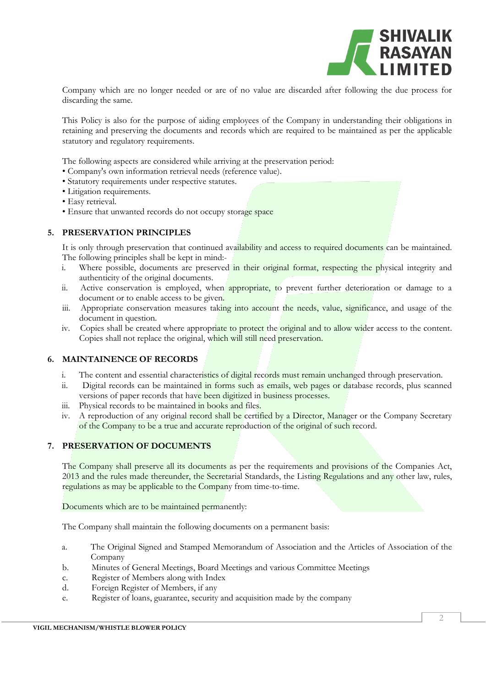

Company which are no longer needed or are of no value are discarded after following the due process for discarding the same.

This Policy is also for the purpose of aiding employees of the Company in understanding their obligations in retaining and preserving the documents and records which are required to be maintained as per the applicable statutory and regulatory requirements.

The following aspects are considered while arriving at the preservation period:

- Company's own information retrieval needs (reference value).
- Statutory requirements under respective statutes.
- Litigation requirements.
- Easy retrieval.
- Ensure that unwanted records do not occupy storage space

## **5. PRESERVATION PRINCIPLES**

It is only through preservation that continued availability and access to required documents can be maintained. The following principles shall be kept in mind:-

- i. Where possible, documents are preserved in their original format, respecting the physical integrity and authenticity of the original documents.
- ii. Active conservation is employed, when appropriate, to prevent further deterioration or damage to a document or to enable access to be given.
- iii. Appropriate conservation measures taking into account the needs, value, significance, and usage of the document in question.
- iv. Copies shall be created where appropriate to protect the original and to allow wider access to the content. Copies shall not replace the original, which will still need preservation.

## **6. MAINTAINENCE OF RECORDS**

- i. The content and essential characteristics of digital records must remain unchanged through preservation.
- ii. Digital records can be maintained in forms such as emails, web pages or database records, plus scanned versions of paper records that have been digitized in business processes.
- iii. Physical records to be maintained in books and files.
- iv. A reproduction of any original record shall be certified by a Director, Manager or the Company Secretary of the Company to be a true and accurate reproduction of the original of such record.

## **7. PRESERVATION OF DOCUMENTS**

The Company shall preserve all its documents as per the requirements and provisions of the Companies Act, 2013 and the rules made thereunder, the Secretarial Standards, the Listing Regulations and any other law, rules, regulations as may be applicable to the Company from time-to-time.

Documents which are to be maintained permanently:

The Company shall maintain the following documents on a permanent basis:

- a. The Original Signed and Stamped Memorandum of Association and the Articles of Association of the Company
- b. Minutes of General Meetings, Board Meetings and various Committee Meetings
- c. Register of Members along with Index
- d. Foreign Register of Members, if any
- e. Register of loans, guarantee, security and acquisition made by the company